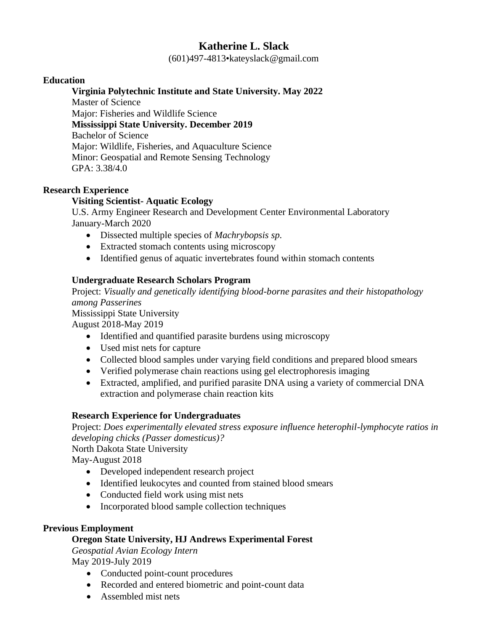# **Katherine L. Slack**

(601)497-4813•kateyslack@gmail.com

### **Education**

### **Virginia Polytechnic Institute and State University. May 2022**

Master of Science Major: Fisheries and Wildlife Science **Mississippi State University. December 2019** Bachelor of Science Major: Wildlife, Fisheries, and Aquaculture Science Minor: Geospatial and Remote Sensing Technology GPA: 3.38/4.0

### **Research Experience**

# **Visiting Scientist- Aquatic Ecology**

U.S. Army Engineer Research and Development Center Environmental Laboratory January-March 2020

- Dissected multiple species of *Machrybopsis sp.*
- Extracted stomach contents using microscopy
- Identified genus of aquatic invertebrates found within stomach contents

# **Undergraduate Research Scholars Program**

Project: *Visually and genetically identifying blood-borne parasites and their histopathology among Passerines*

Mississippi State University

August 2018-May 2019

- Identified and quantified parasite burdens using microscopy
- Used mist nets for capture
- Collected blood samples under varying field conditions and prepared blood smears
- Verified polymerase chain reactions using gel electrophoresis imaging
- Extracted, amplified, and purified parasite DNA using a variety of commercial DNA extraction and polymerase chain reaction kits

#### **Research Experience for Undergraduates**

Project: *Does experimentally elevated stress exposure influence heterophil-lymphocyte ratios in developing chicks (Passer domesticus)?*

North Dakota State University

May-August 2018

- Developed independent research project
- Identified leukocytes and counted from stained blood smears
- Conducted field work using mist nets
- Incorporated blood sample collection techniques

#### **Previous Employment**

# **Oregon State University, HJ Andrews Experimental Forest**

*Geospatial Avian Ecology Intern* May 2019-July 2019

- Conducted point-count procedures
- Recorded and entered biometric and point-count data
- Assembled mist nets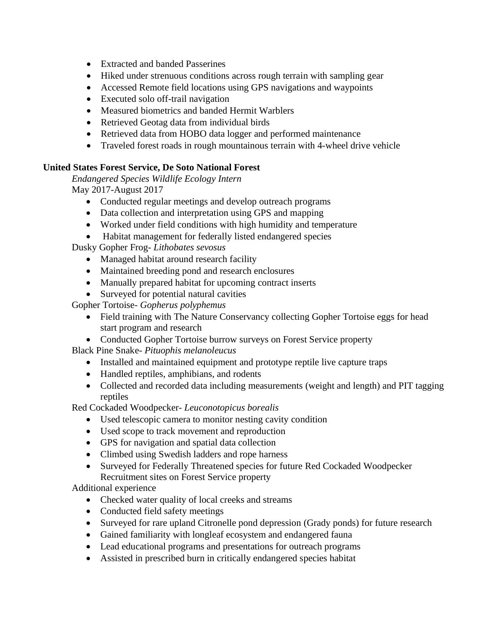- Extracted and banded Passerines
- Hiked under strenuous conditions across rough terrain with sampling gear
- Accessed Remote field locations using GPS navigations and waypoints
- Executed solo off-trail navigation
- Measured biometrics and banded Hermit Warblers
- Retrieved Geotag data from individual birds
- Retrieved data from HOBO data logger and performed maintenance
- Traveled forest roads in rough mountainous terrain with 4-wheel drive vehicle

# **United States Forest Service, De Soto National Forest**

*Endangered Species Wildlife Ecology Intern* May 2017-August 2017

- Conducted regular meetings and develop outreach programs
- Data collection and interpretation using GPS and mapping
- Worked under field conditions with high humidity and temperature
- Habitat management for federally listed endangered species

Dusky Gopher Frog- *Lithobates sevosus*

- Managed habitat around research facility
- Maintained breeding pond and research enclosures
- Manually prepared habitat for upcoming contract inserts
- Surveyed for potential natural cavities

Gopher Tortoise- *Gopherus polyphemus*

- Field training with The Nature Conservancy collecting Gopher Tortoise eggs for head start program and research
- Conducted Gopher Tortoise burrow surveys on Forest Service property

Black Pine Snake- *Pituophis melanoleucus*

- Installed and maintained equipment and prototype reptile live capture traps
- Handled reptiles, amphibians, and rodents
- Collected and recorded data including measurements (weight and length) and PIT tagging reptiles

Red Cockaded Woodpecker- *Leuconotopicus borealis*

- Used telescopic camera to monitor nesting cavity condition
- Used scope to track movement and reproduction
- GPS for navigation and spatial data collection
- Climbed using Swedish ladders and rope harness
- Surveyed for Federally Threatened species for future Red Cockaded Woodpecker Recruitment sites on Forest Service property

Additional experience

- Checked water quality of local creeks and streams
- Conducted field safety meetings
- Surveyed for rare upland Citronelle pond depression (Grady ponds) for future research
- Gained familiarity with longleaf ecosystem and endangered fauna
- Lead educational programs and presentations for outreach programs
- Assisted in prescribed burn in critically endangered species habitat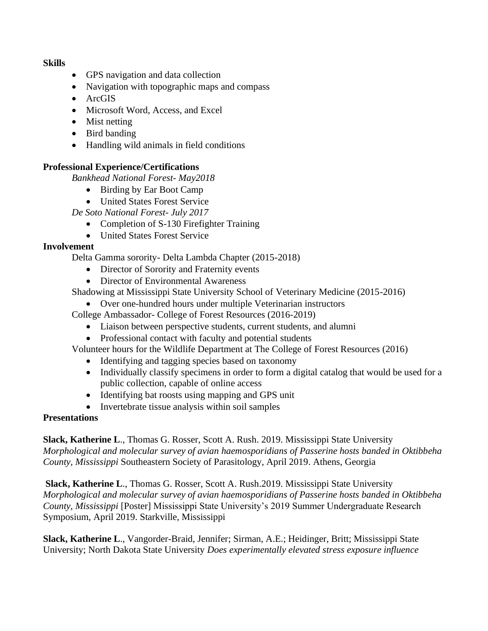**Skills**

- GPS navigation and data collection
- Navigation with topographic maps and compass
- ArcGIS
- Microsoft Word, Access, and Excel
- Mist netting
- Bird banding
- Handling wild animals in field conditions

# **Professional Experience/Certifications**

*Bankhead National Forest- May2018*

- Birding by Ear Boot Camp
- United States Forest Service

*De Soto National Forest- July 2017*

- Completion of S-130 Firefighter Training
- United States Forest Service

### **Involvement**

Delta Gamma sorority- Delta Lambda Chapter (2015-2018)

- Director of Sorority and Fraternity events
- Director of Environmental Awareness

Shadowing at Mississippi State University School of Veterinary Medicine (2015-2016)

• Over one-hundred hours under multiple Veterinarian instructors

College Ambassador- College of Forest Resources (2016-2019)

- Liaison between perspective students, current students, and alumni
- Professional contact with faculty and potential students

Volunteer hours for the Wildlife Department at The College of Forest Resources (2016)

- Identifying and tagging species based on taxonomy
- Individually classify specimens in order to form a digital catalog that would be used for a public collection, capable of online access
- Identifying bat roosts using mapping and GPS unit
- Invertebrate tissue analysis within soil samples

#### **Presentations**

**Slack, Katherine L**., Thomas G. Rosser, Scott A. Rush. 2019. Mississippi State University *Morphological and molecular survey of avian haemosporidians of Passerine hosts banded in Oktibbeha County, Mississippi* Southeastern Society of Parasitology, April 2019. Athens, Georgia

**Slack, Katherine L**., Thomas G. Rosser, Scott A. Rush.2019. Mississippi State University *Morphological and molecular survey of avian haemosporidians of Passerine hosts banded in Oktibbeha County, Mississippi* [Poster] Mississippi State University's 2019 Summer Undergraduate Research Symposium, April 2019. Starkville, Mississippi

**Slack, Katherine L**., Vangorder-Braid, Jennifer; Sirman, A.E.; Heidinger, Britt; Mississippi State University; North Dakota State University *Does experimentally elevated stress exposure influence*